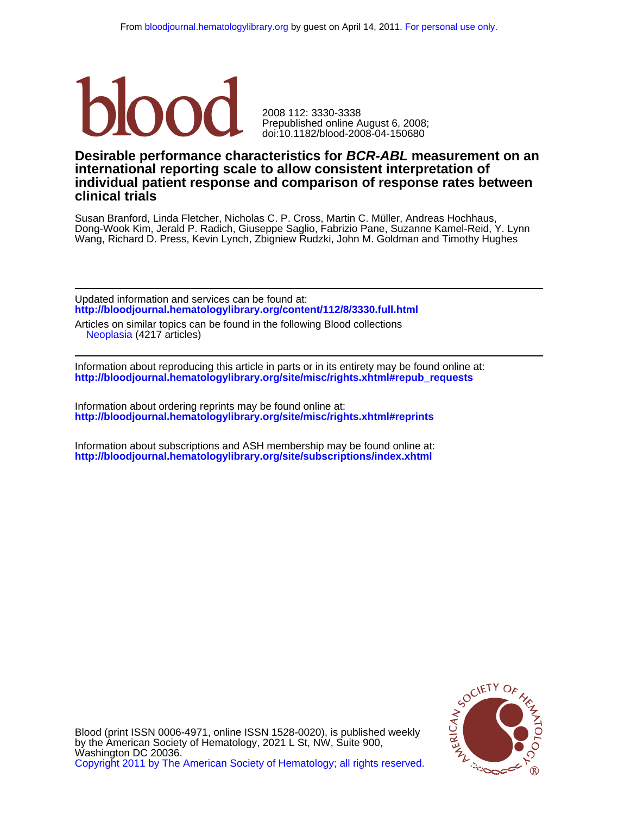

doi:10.1182/blood-2008-04-150680 Prepublished online August 6, 2008; 2008 112: 3330-3338

# **clinical trials individual patient response and comparison of response rates between international reporting scale to allow consistent interpretation of Desirable performance characteristics for BCR-ABL measurement on an**

Wang, Richard D. Press, Kevin Lynch, Zbigniew Rudzki, John M. Goldman and Timothy Hughes Dong-Wook Kim, Jerald P. Radich, Giuseppe Saglio, Fabrizio Pane, Suzanne Kamel-Reid, Y. Lynn Susan Branford, Linda Fletcher, Nicholas C. P. Cross, Martin C. Müller, Andreas Hochhaus,

**<http://bloodjournal.hematologylibrary.org/content/112/8/3330.full.html>** Updated information and services can be found at:

 [Neoplasia](http://bloodjournal.hematologylibrary.org/cgi/collection/neoplasia) (4217 articles) Articles on similar topics can be found in the following Blood collections

**[http://bloodjournal.hematologylibrary.org/site/misc/rights.xhtml#repub\\_requests](http://bloodjournal.hematologylibrary.org/site/misc/rights.xhtml#repub_requests)** Information about reproducing this article in parts or in its entirety may be found online at:

**<http://bloodjournal.hematologylibrary.org/site/misc/rights.xhtml#reprints>** Information about ordering reprints may be found online at:

**<http://bloodjournal.hematologylibrary.org/site/subscriptions/index.xhtml>** Information about subscriptions and ASH membership may be found online at:



[Copyright 2011 by The American Society of Hematology; all rights reserved.](http://bloodjournal.hematologylibrary.org/subscriptions/ToS.dtl) Washington DC 20036. by the American Society of Hematology, 2021 L St, NW, Suite 900, Blood (print ISSN 0006-4971, online ISSN 1528-0020), is published weekly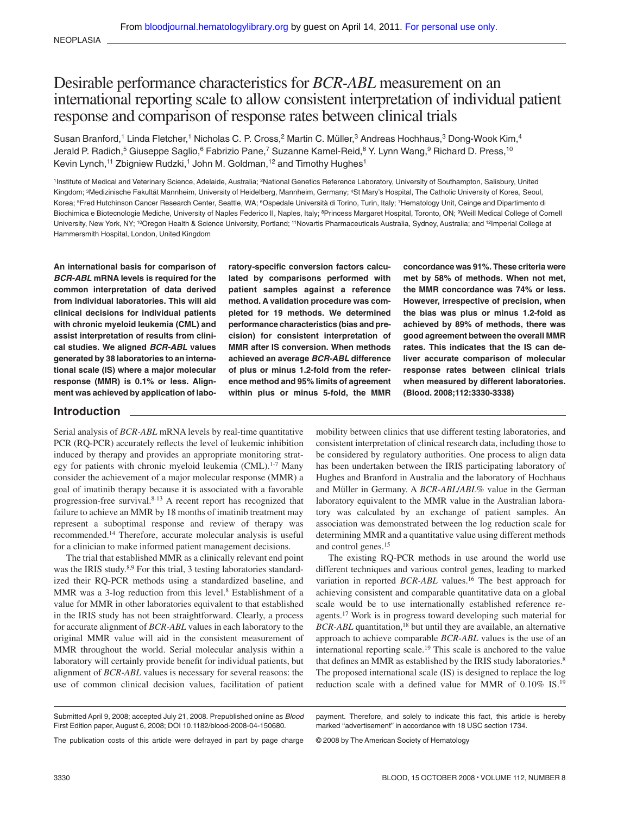# Desirable performance characteristics for *BCR-ABL* measurement on an international reporting scale to allow consistent interpretation of individual patient response and comparison of response rates between clinical trials

Susan Branford,<sup>1</sup> Linda Fletcher,<sup>1</sup> Nicholas C. P. Cross,<sup>2</sup> Martin C. Müller,<sup>3</sup> Andreas Hochhaus,<sup>3</sup> Dong-Wook Kim,<sup>4</sup> Jerald P. Radich,<sup>5</sup> Giuseppe Saglio,<sup>6</sup> Fabrizio Pane,<sup>7</sup> Suzanne Kamel-Reid,<sup>8</sup> Y. Lynn Wang,<sup>9</sup> Richard D. Press,<sup>10</sup> Kevin Lynch,<sup>11</sup> Zbigniew Rudzki,<sup>1</sup> John M. Goldman,<sup>12</sup> and Timothy Hughes<sup>1</sup>

1Institute of Medical and Veterinary Science, Adelaide, Australia; 2National Genetics Reference Laboratory, University of Southampton, Salisbury, United Kingdom; <sup>3</sup>Medizinische Fakultät Mannheim, University of Heidelberg, Mannheim, Germany; <sup>4</sup>St Mary's Hospital, The Catholic University of Korea, Seoul, Korea; <sup>5</sup>Fred Hutchinson Cancer Research Center, Seattle, WA; <sup>6</sup>Ospedale Università di Torino, Turin, Italy; 7Hematology Unit, Ceinge and Dipartimento di Biochimica e Biotecnologie Mediche, University of Naples Federico II, Naples, Italy; 8Princess Margaret Hospital, Toronto, ON; 9Weill Medical College of Cornell University, New York, NY; <sup>10</sup>Oregon Health & Science University, Portland; <sup>11</sup>Novartis Pharmaceuticals Australia, Sydney, Australia; and <sup>12</sup>Imperial College at Hammersmith Hospital, London, United Kingdom

**An international basis for comparison of** *BCR-ABL* **mRNA levels is required for the common interpretation of data derived from individual laboratories. This will aid clinical decisions for individual patients with chronic myeloid leukemia (CML) and assist interpretation of results from clinical studies. We aligned** *BCR-ABL* **values generated by 38 laboratories to an international scale (IS) where a major molecular response (MMR) is 0.1% or less. Alignment was achieved by application of labo-**

## **Introduction**

Serial analysis of *BCR-ABL* mRNA levels by real-time quantitative PCR (RQ-PCR) accurately reflects the level of leukemic inhibition induced by therapy and provides an appropriate monitoring strategy for patients with chronic myeloid leukemia (CML).<sup>1-7</sup> Many consider the achievement of a major molecular response (MMR) a goal of imatinib therapy because it is associated with a favorable progression-free survival.8-13 A recent report has recognized that failure to achieve an MMR by 18 months of imatinib treatment may represent a suboptimal response and review of therapy was recommended.14 Therefore, accurate molecular analysis is useful for a clinician to make informed patient management decisions.

The trial that established MMR as a clinically relevant end point was the IRIS study.<sup>8,9</sup> For this trial, 3 testing laboratories standardized their RQ-PCR methods using a standardized baseline, and MMR was a 3-log reduction from this level.<sup>8</sup> Establishment of a value for MMR in other laboratories equivalent to that established in the IRIS study has not been straightforward. Clearly, a process for accurate alignment of *BCR-ABL* values in each laboratory to the original MMR value will aid in the consistent measurement of MMR throughout the world. Serial molecular analysis within a laboratory will certainly provide benefit for individual patients, but alignment of *BCR-ABL* values is necessary for several reasons: the use of common clinical decision values, facilitation of patient

**ratory-specific conversion factors calculated by comparisons performed with patient samples against a reference method. A validation procedure was completed for 19 methods. We determined performance characteristics (bias and precision) for consistent interpretation of MMR after IS conversion. When methods achieved an average** *BCR-ABL* **difference of plus or minus 1.2-fold from the reference method and 95% limits of agreement within plus or minus 5-fold, the MMR**

**concordance was 91%. These criteria were met by 58% of methods. When not met, the MMR concordance was 74% or less. However, irrespective of precision, when the bias was plus or minus 1.2-fold as achieved by 89% of methods, there was good agreement between the overall MMR rates. This indicates that the IS can deliver accurate comparison of molecular response rates between clinical trials when measured by different laboratories. (Blood. 2008;112:3330-3338)**

mobility between clinics that use different testing laboratories, and consistent interpretation of clinical research data, including those to be considered by regulatory authorities. One process to align data has been undertaken between the IRIS participating laboratory of Hughes and Branford in Australia and the laboratory of Hochhaus and Müller in Germany. A *BCR-ABL*/*ABL*% value in the German laboratory equivalent to the MMR value in the Australian laboratory was calculated by an exchange of patient samples. An association was demonstrated between the log reduction scale for determining MMR and a quantitative value using different methods and control genes.15

The existing RQ-PCR methods in use around the world use different techniques and various control genes, leading to marked variation in reported *BCR-ABL* values.<sup>16</sup> The best approach for achieving consistent and comparable quantitative data on a global scale would be to use internationally established reference reagents.17 Work is in progress toward developing such material for *BCR-ABL* quantitation,<sup>18</sup> but until they are available, an alternative approach to achieve comparable *BCR-ABL* values is the use of an international reporting scale.19 This scale is anchored to the value that defines an MMR as established by the IRIS study laboratories.8 The proposed international scale (IS) is designed to replace the log reduction scale with a defined value for MMR of 0.10% IS.19

payment. Therefore, and solely to indicate this fact, this article is hereby marked "advertisement" in accordance with 18 USC section 1734.

The publication costs of this article were defrayed in part by page charge

© 2008 by The American Society of Hematology

Submitted April 9, 2008; accepted July 21, 2008. Prepublished online as *Blood* First Edition paper, August 6, 2008; DOI 10.1182/blood-2008-04-150680.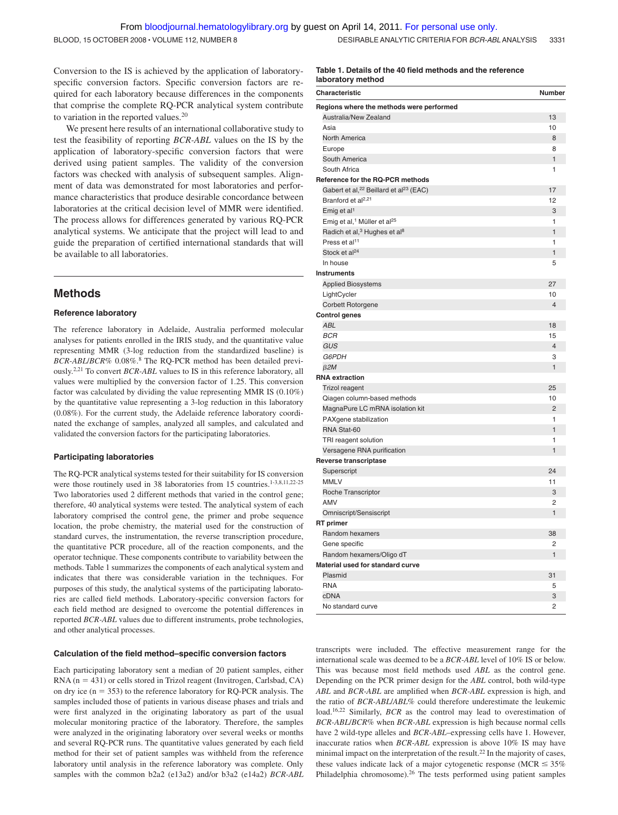Conversion to the IS is achieved by the application of laboratoryspecific conversion factors. Specific conversion factors are required for each laboratory because differences in the components that comprise the complete RQ-PCR analytical system contribute to variation in the reported values.20

We present here results of an international collaborative study to test the feasibility of reporting *BCR-ABL* values on the IS by the application of laboratory-specific conversion factors that were derived using patient samples. The validity of the conversion factors was checked with analysis of subsequent samples. Alignment of data was demonstrated for most laboratories and performance characteristics that produce desirable concordance between laboratories at the critical decision level of MMR were identified. The process allows for differences generated by various RQ-PCR analytical systems. We anticipate that the project will lead to and guide the preparation of certified international standards that will be available to all laboratories.

# **Methods**

#### **Reference laboratory**

The reference laboratory in Adelaide, Australia performed molecular analyses for patients enrolled in the IRIS study, and the quantitative value representing MMR (3-log reduction from the standardized baseline) is *BCR-ABL*/*BCR*% 0.08%.8 The RQ-PCR method has been detailed previously.2,21 To convert *BCR-ABL* values to IS in this reference laboratory, all values were multiplied by the conversion factor of 1.25. This conversion factor was calculated by dividing the value representing MMR IS (0.10%) by the quantitative value representing a 3-log reduction in this laboratory (0.08%). For the current study, the Adelaide reference laboratory coordinated the exchange of samples, analyzed all samples, and calculated and validated the conversion factors for the participating laboratories.

#### **Participating laboratories**

The RQ-PCR analytical systems tested for their suitability for IS conversion were those routinely used in 38 laboratories from 15 countries.<sup>1-3,8,11,22-25</sup> Two laboratories used 2 different methods that varied in the control gene; therefore, 40 analytical systems were tested. The analytical system of each laboratory comprised the control gene, the primer and probe sequence location, the probe chemistry, the material used for the construction of standard curves, the instrumentation, the reverse transcription procedure, the quantitative PCR procedure, all of the reaction components, and the operator technique. These components contribute to variability between the methods. Table 1 summarizes the components of each analytical system and indicates that there was considerable variation in the techniques. For purposes of this study, the analytical systems of the participating laboratories are called field methods. Laboratory-specific conversion factors for each field method are designed to overcome the potential differences in reported *BCR-ABL* values due to different instruments, probe technologies, and other analytical processes.

#### **Calculation of the field method–specific conversion factors**

Each participating laboratory sent a median of 20 patient samples, either  $RNA (n = 431)$  or cells stored in Trizol reagent (Invitrogen, Carlsbad, CA) on dry ice  $(n = 353)$  to the reference laboratory for RQ-PCR analysis. The samples included those of patients in various disease phases and trials and were first analyzed in the originating laboratory as part of the usual molecular monitoring practice of the laboratory. Therefore, the samples were analyzed in the originating laboratory over several weeks or months and several RQ-PCR runs. The quantitative values generated by each field method for their set of patient samples was withheld from the reference laboratory until analysis in the reference laboratory was complete. Only samples with the common b2a2 (e13a2) and/or b3a2 (e14a2) *BCR-ABL*

#### **Table 1. Details of the 40 field methods and the reference laboratory method**

| Characteristic                                                 | Number         |
|----------------------------------------------------------------|----------------|
| Regions where the methods were performed                       |                |
| Australia/New Zealand                                          | 13             |
| Asia                                                           | 10             |
| North America                                                  | 8              |
| Europe                                                         | 8              |
| South America                                                  | $\mathbf{1}$   |
| South Africa                                                   | 1              |
| Reference for the RQ-PCR methods                               |                |
| Gabert et al, <sup>22</sup> Beillard et al <sup>23</sup> (EAC) | 17             |
| Branford et al <sup>2,21</sup>                                 | 12             |
| Emig et al <sup>1</sup>                                        | 3              |
| Emig et al, <sup>1</sup> Müller et al <sup>25</sup>            | 1              |
| Radich et al, <sup>3</sup> Hughes et al <sup>8</sup>           | $\mathbf{1}$   |
| Press et al <sup>11</sup>                                      | 1              |
| Stock et al <sup>24</sup>                                      | $\mathbf{1}$   |
| In house                                                       | 5              |
| <b>Instruments</b>                                             |                |
| <b>Applied Biosystems</b>                                      | 27             |
| LightCycler                                                    | 10             |
| Corbett Rotorgene                                              | $\overline{4}$ |
| <b>Control genes</b>                                           |                |
| <b>ABL</b>                                                     | 18             |
| <b>BCR</b>                                                     | 15             |
| GUS                                                            | $\overline{4}$ |
| G6PDH                                                          | 3              |
| $\beta$ 2M                                                     | $\mathbf{1}$   |
| <b>RNA</b> extraction                                          |                |
| <b>Trizol reagent</b>                                          | 25             |
| Qiagen column-based methods                                    | 10             |
| MagnaPure LC mRNA isolation kit                                | $\overline{2}$ |
| PAXgene stabilization                                          | 1              |
| RNA Stat-60                                                    | $\mathbf{1}$   |
| TRI reagent solution                                           | 1              |
| Versagene RNA purification                                     | $\mathbf{1}$   |
| <b>Reverse transcriptase</b>                                   |                |
| Superscript                                                    | 24             |
| <b>MMLV</b>                                                    | 11             |
| Roche Transcriptor                                             | 3              |
| AMV                                                            | 2              |
| Omniscript/Sensiscript                                         | $\mathbf{1}$   |
| <b>RT</b> primer                                               |                |
| Random hexamers                                                | 38             |
| Gene specific                                                  | 2              |
| Random hexamers/Oligo dT                                       | 1              |
| Material used for standard curve                               |                |
| Plasmid                                                        | 31             |
| <b>RNA</b>                                                     | 5              |
| <b>cDNA</b>                                                    | 3              |
| No standard curve                                              | $\overline{c}$ |

transcripts were included. The effective measurement range for the international scale was deemed to be a *BCR-ABL* level of 10% IS or below. This was because most field methods used *ABL* as the control gene. Depending on the PCR primer design for the *ABL* control, both wild-type *ABL* and *BCR-ABL* are amplified when *BCR-ABL* expression is high, and the ratio of *BCR-ABL*/*ABL*% could therefore underestimate the leukemic load.<sup>16,22</sup> Similarly, *BCR* as the control may lead to overestimation of *BCR-ABL*/*BCR*% when *BCR-ABL* expression is high because normal cells have 2 wild-type alleles and *BCR-ABL*–expressing cells have 1. However, inaccurate ratios when *BCR-ABL* expression is above 10% IS may have minimal impact on the interpretation of the result.22 In the majority of cases, these values indicate lack of a major cytogenetic response (MCR  $\leq$  35% Philadelphia chromosome).<sup>26</sup> The tests performed using patient samples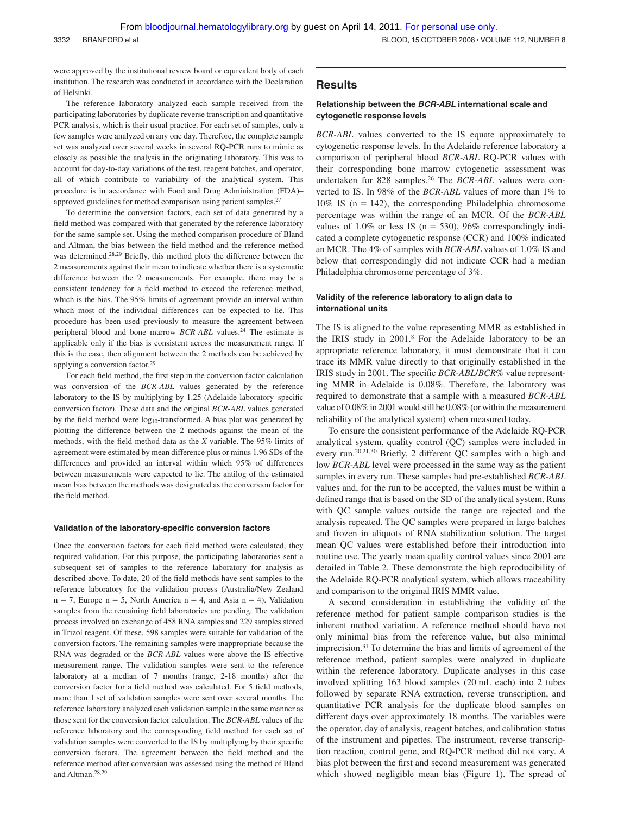were approved by the institutional review board or equivalent body of each institution. The research was conducted in accordance with the Declaration of Helsinki.

The reference laboratory analyzed each sample received from the participating laboratories by duplicate reverse transcription and quantitative PCR analysis, which is their usual practice. For each set of samples, only a few samples were analyzed on any one day. Therefore, the complete sample set was analyzed over several weeks in several RQ-PCR runs to mimic as closely as possible the analysis in the originating laboratory. This was to account for day-to-day variations of the test, reagent batches, and operator, all of which contribute to variability of the analytical system. This procedure is in accordance with Food and Drug Administration (FDA)– approved guidelines for method comparison using patient samples.<sup>27</sup>

To determine the conversion factors, each set of data generated by a field method was compared with that generated by the reference laboratory for the same sample set. Using the method comparison procedure of Bland and Altman, the bias between the field method and the reference method was determined.28,29 Briefly, this method plots the difference between the 2 measurements against their mean to indicate whether there is a systematic difference between the 2 measurements. For example, there may be a consistent tendency for a field method to exceed the reference method, which is the bias. The 95% limits of agreement provide an interval within which most of the individual differences can be expected to lie. This procedure has been used previously to measure the agreement between peripheral blood and bone marrow *BCR-ABL* values.24 The estimate is applicable only if the bias is consistent across the measurement range. If this is the case, then alignment between the 2 methods can be achieved by applying a conversion factor.29

For each field method, the first step in the conversion factor calculation was conversion of the *BCR-ABL* values generated by the reference laboratory to the IS by multiplying by 1.25 (Adelaide laboratory–specific conversion factor). These data and the original *BCR-ABL* values generated by the field method were  $log_{10}$ -transformed. A bias plot was generated by plotting the difference between the 2 methods against the mean of the methods, with the field method data as the *X* variable. The 95% limits of agreement were estimated by mean difference plus or minus 1.96 SDs of the differences and provided an interval within which 95% of differences between measurements were expected to lie. The antilog of the estimated mean bias between the methods was designated as the conversion factor for the field method.

#### **Validation of the laboratory-specific conversion factors**

Once the conversion factors for each field method were calculated, they required validation. For this purpose, the participating laboratories sent a subsequent set of samples to the reference laboratory for analysis as described above. To date, 20 of the field methods have sent samples to the reference laboratory for the validation process (Australia/New Zealand  $n = 7$ , Europe  $n = 5$ , North America  $n = 4$ , and Asia  $n = 4$ ). Validation samples from the remaining field laboratories are pending. The validation process involved an exchange of 458 RNA samples and 229 samples stored in Trizol reagent. Of these, 598 samples were suitable for validation of the conversion factors. The remaining samples were inappropriate because the RNA was degraded or the *BCR-ABL* values were above the IS effective measurement range. The validation samples were sent to the reference laboratory at a median of 7 months (range, 2-18 months) after the conversion factor for a field method was calculated. For 5 field methods, more than 1 set of validation samples were sent over several months. The reference laboratory analyzed each validation sample in the same manner as those sent for the conversion factor calculation. The *BCR-ABL* values of the reference laboratory and the corresponding field method for each set of validation samples were converted to the IS by multiplying by their specific conversion factors. The agreement between the field method and the reference method after conversion was assessed using the method of Bland and Altman.28,29

## **Results**

## **Relationship between the** *BCR-ABL* **international scale and cytogenetic response levels**

*BCR-ABL* values converted to the IS equate approximately to cytogenetic response levels. In the Adelaide reference laboratory a comparison of peripheral blood *BCR-ABL* RQ-PCR values with their corresponding bone marrow cytogenetic assessment was undertaken for 828 samples.26 The *BCR-ABL* values were converted to IS. In 98% of the *BCR-ABL* values of more than 1% to  $10\%$  IS ( $n = 142$ ), the corresponding Philadelphia chromosome percentage was within the range of an MCR. Of the *BCR-ABL* values of 1.0% or less IS ( $n = 530$ ), 96% correspondingly indicated a complete cytogenetic response (CCR) and 100% indicated an MCR. The 4% of samples with *BCR-ABL* values of 1.0% IS and below that correspondingly did not indicate CCR had a median Philadelphia chromosome percentage of 3%.

## **Validity of the reference laboratory to align data to international units**

The IS is aligned to the value representing MMR as established in the IRIS study in 2001.8 For the Adelaide laboratory to be an appropriate reference laboratory, it must demonstrate that it can trace its MMR value directly to that originally established in the IRIS study in 2001. The specific *BCR-ABL*/*BCR*% value representing MMR in Adelaide is 0.08%. Therefore, the laboratory was required to demonstrate that a sample with a measured *BCR-ABL* value of 0.08% in 2001 would still be 0.08% (or within the measurement reliability of the analytical system) when measured today.

To ensure the consistent performance of the Adelaide RQ-PCR analytical system, quality control (QC) samples were included in every run.20,21,30 Briefly, 2 different QC samples with a high and low *BCR-ABL* level were processed in the same way as the patient samples in every run. These samples had pre-established *BCR-ABL* values and, for the run to be accepted, the values must be within a defined range that is based on the SD of the analytical system. Runs with QC sample values outside the range are rejected and the analysis repeated. The QC samples were prepared in large batches and frozen in aliquots of RNA stabilization solution. The target mean QC values were established before their introduction into routine use. The yearly mean quality control values since 2001 are detailed in Table 2. These demonstrate the high reproducibility of the Adelaide RQ-PCR analytical system, which allows traceability and comparison to the original IRIS MMR value.

A second consideration in establishing the validity of the reference method for patient sample comparison studies is the inherent method variation. A reference method should have not only minimal bias from the reference value, but also minimal imprecision.31 To determine the bias and limits of agreement of the reference method, patient samples were analyzed in duplicate within the reference laboratory. Duplicate analyses in this case involved splitting 163 blood samples (20 mL each) into 2 tubes followed by separate RNA extraction, reverse transcription, and quantitative PCR analysis for the duplicate blood samples on different days over approximately 18 months. The variables were the operator, day of analysis, reagent batches, and calibration status of the instrument and pipettes. The instrument, reverse transcription reaction, control gene, and RQ-PCR method did not vary. A bias plot between the first and second measurement was generated which showed negligible mean bias (Figure 1). The spread of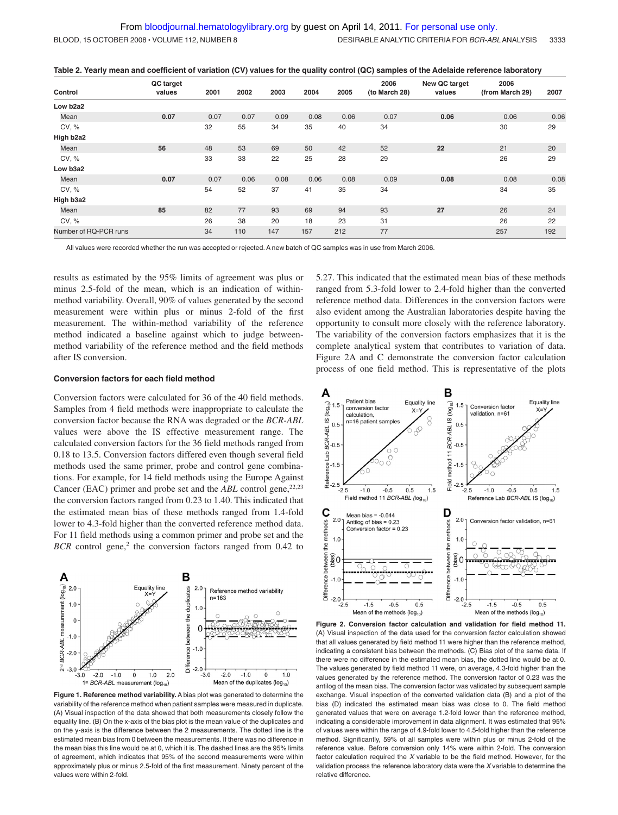|  |  | Table 2. Yearly mean and coefficient of variation (CV) values for the quality control (QC) samples of the Adelaide reference laboratory |
|--|--|-----------------------------------------------------------------------------------------------------------------------------------------|
|--|--|-----------------------------------------------------------------------------------------------------------------------------------------|

| Control               | QC target<br>values | 2001 | 2002 | 2003 | 2004 | 2005 | 2006<br>(to March 28) | New QC target<br>values | 2006<br>(from March 29) | 2007 |
|-----------------------|---------------------|------|------|------|------|------|-----------------------|-------------------------|-------------------------|------|
| Low b2a2              |                     |      |      |      |      |      |                       |                         |                         |      |
| Mean                  | 0.07                | 0.07 | 0.07 | 0.09 | 0.08 | 0.06 | 0.07                  | 0.06                    | 0.06                    | 0.06 |
| CV, %                 |                     | 32   | 55   | 34   | 35   | 40   | 34                    |                         | 30                      | 29   |
| High b2a2             |                     |      |      |      |      |      |                       |                         |                         |      |
| Mean                  | 56                  | 48   | 53   | 69   | 50   | 42   | 52                    | 22                      | 21                      | 20   |
| CV, %                 |                     | 33   | 33   | 22   | 25   | 28   | 29                    |                         | 26                      | 29   |
| Low b3a2              |                     |      |      |      |      |      |                       |                         |                         |      |
| Mean                  | 0.07                | 0.07 | 0.06 | 0.08 | 0.06 | 0.08 | 0.09                  | 0.08                    | 0.08                    | 0.08 |
| CV, %                 |                     | 54   | 52   | 37   | 41   | 35   | 34                    |                         | 34                      | 35   |
| High b3a2             |                     |      |      |      |      |      |                       |                         |                         |      |
| Mean                  | 85                  | 82   | 77   | 93   | 69   | 94   | 93                    | 27                      | 26                      | 24   |
| CV, %                 |                     | 26   | 38   | 20   | 18   | 23   | 31                    |                         | 26                      | 22   |
| Number of RQ-PCR runs |                     | 34   | 110  | 147  | 157  | 212  | 77                    |                         | 257                     | 192  |

All values were recorded whether the run was accepted or rejected. A new batch of QC samples was in use from March 2006.

results as estimated by the 95% limits of agreement was plus or minus 2.5-fold of the mean, which is an indication of withinmethod variability. Overall, 90% of values generated by the second measurement were within plus or minus 2-fold of the first measurement. The within-method variability of the reference method indicated a baseline against which to judge betweenmethod variability of the reference method and the field methods after IS conversion.

#### **Conversion factors for each field method**

Conversion factors were calculated for 36 of the 40 field methods. Samples from 4 field methods were inappropriate to calculate the conversion factor because the RNA was degraded or the *BCR-ABL* values were above the IS effective measurement range. The calculated conversion factors for the 36 field methods ranged from 0.18 to 13.5. Conversion factors differed even though several field methods used the same primer, probe and control gene combinations. For example, for 14 field methods using the Europe Against Cancer (EAC) primer and probe set and the *ABL* control gene,<sup>22,23</sup> the conversion factors ranged from 0.23 to 1.40. This indicated that the estimated mean bias of these methods ranged from 1.4-fold lower to 4.3-fold higher than the converted reference method data. For 11 field methods using a common primer and probe set and the *BCR* control gene,<sup>2</sup> the conversion factors ranged from 0.42 to



**Figure 1. Reference method variability.** A bias plot was generated to determine the variability of the reference method when patient samples were measured in duplicate. (A) Visual inspection of the data showed that both measurements closely follow the equality line. (B) On the x-axis of the bias plot is the mean value of the duplicates and on the y-axis is the difference between the 2 measurements. The dotted line is the estimated mean bias from 0 between the measurements. If there was no difference in the mean bias this line would be at 0, which it is. The dashed lines are the 95% limits of agreement, which indicates that 95% of the second measurements were within approximately plus or minus 2.5-fold of the first measurement. Ninety percent of the values were within 2-fold.

5.27. This indicated that the estimated mean bias of these methods ranged from 5.3-fold lower to 2.4-fold higher than the converted reference method data. Differences in the conversion factors were also evident among the Australian laboratories despite having the opportunity to consult more closely with the reference laboratory. The variability of the conversion factors emphasizes that it is the complete analytical system that contributes to variation of data. Figure 2A and C demonstrate the conversion factor calculation process of one field method. This is representative of the plots



**Figure 2. Conversion factor calculation and validation for field method 11.** (A) Visual inspection of the data used for the conversion factor calculation showed that all values generated by field method 11 were higher than the reference method, indicating a consistent bias between the methods. (C) Bias plot of the same data. If there were no difference in the estimated mean bias, the dotted line would be at 0. The values generated by field method 11 were, on average, 4.3-fold higher than the values generated by the reference method. The conversion factor of 0.23 was the antilog of the mean bias. The conversion factor was validated by subsequent sample exchange. Visual inspection of the converted validation data (B) and a plot of the bias (D) indicated the estimated mean bias was close to 0. The field method generated values that were on average 1.2-fold lower than the reference method, indicating a considerable improvement in data alignment. It was estimated that 95% of values were within the range of 4.9-fold lower to 4.5-fold higher than the reference method. Significantly, 59% of all samples were within plus or minus 2-fold of the reference value. Before conversion only 14% were within 2-fold. The conversion factor calculation required the *X* variable to be the field method. However, for the validation process the reference laboratory data were the *X* variable to determine the relative difference.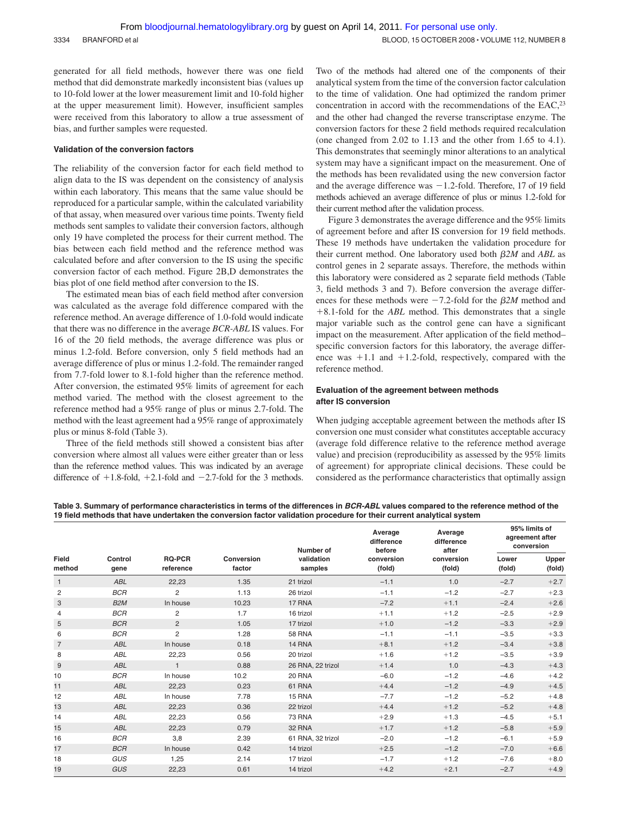generated for all field methods, however there was one field method that did demonstrate markedly inconsistent bias (values up to 10-fold lower at the lower measurement limit and 10-fold higher at the upper measurement limit). However, insufficient samples were received from this laboratory to allow a true assessment of bias, and further samples were requested.

#### **Validation of the conversion factors**

The reliability of the conversion factor for each field method to align data to the IS was dependent on the consistency of analysis within each laboratory. This means that the same value should be reproduced for a particular sample, within the calculated variability of that assay, when measured over various time points. Twenty field methods sent samples to validate their conversion factors, although only 19 have completed the process for their current method. The bias between each field method and the reference method was calculated before and after conversion to the IS using the specific conversion factor of each method. Figure 2B,D demonstrates the bias plot of one field method after conversion to the IS.

The estimated mean bias of each field method after conversion was calculated as the average fold difference compared with the reference method. An average difference of 1.0-fold would indicate that there was no difference in the average *BCR-ABL* IS values. For 16 of the 20 field methods, the average difference was plus or minus 1.2-fold. Before conversion, only 5 field methods had an average difference of plus or minus 1.2-fold. The remainder ranged from 7.7-fold lower to 8.1-fold higher than the reference method. After conversion, the estimated 95% limits of agreement for each method varied. The method with the closest agreement to the reference method had a 95% range of plus or minus 2.7-fold. The method with the least agreement had a 95% range of approximately plus or minus 8-fold (Table 3).

Three of the field methods still showed a consistent bias after conversion where almost all values were either greater than or less than the reference method values. This was indicated by an average difference of  $+1.8$ -fold,  $+2.1$ -fold and  $-2.7$ -fold for the 3 methods.

Two of the methods had altered one of the components of their analytical system from the time of the conversion factor calculation to the time of validation. One had optimized the random primer concentration in accord with the recommendations of the EAC,23 and the other had changed the reverse transcriptase enzyme. The conversion factors for these 2 field methods required recalculation (one changed from 2.02 to 1.13 and the other from 1.65 to 4.1). This demonstrates that seemingly minor alterations to an analytical system may have a significant impact on the measurement. One of the methods has been revalidated using the new conversion factor and the average difference was  $-1.2$ -fold. Therefore, 17 of 19 field methods achieved an average difference of plus or minus 1.2-fold for their current method after the validation process.

Figure 3 demonstrates the average difference and the 95% limits of agreement before and after IS conversion for 19 field methods. These 19 methods have undertaken the validation procedure for their current method. One laboratory used both  $\beta$ 2*M* and *ABL* as control genes in 2 separate assays. Therefore, the methods within this laboratory were considered as 2 separate field methods (Table 3, field methods 3 and 7). Before conversion the average differences for these methods were  $-7.2$ -fold for the  $\beta$ 2*M* method and -8.1-fold for the *ABL* method. This demonstrates that a single major variable such as the control gene can have a significant impact on the measurement. After application of the field method– specific conversion factors for this laboratory, the average difference was  $+1.1$  and  $+1.2$ -fold, respectively, compared with the reference method.

## **Evaluation of the agreement between methods after IS conversion**

When judging acceptable agreement between the methods after IS conversion one must consider what constitutes acceptable accuracy (average fold difference relative to the reference method average value) and precision (reproducibility as assessed by the 95% limits of agreement) for appropriate clinical decisions. These could be considered as the performance characteristics that optimally assign

**Table 3. Summary of performance characteristics in terms of the differences in** *BCR-ABL* **values compared to the reference method of the 19 field methods that have undertaken the conversion factor validation procedure for their current analytical system**

| <b>Field</b><br>method |                  |                            |                             | Number of             | Average<br>difference<br>before | Average<br>difference<br>after | 95% limits of<br>agreement after<br>conversion |                 |
|------------------------|------------------|----------------------------|-----------------------------|-----------------------|---------------------------------|--------------------------------|------------------------------------------------|-----------------|
|                        | Control<br>qene  | <b>RQ-PCR</b><br>reference | <b>Conversion</b><br>factor | validation<br>samples | conversion<br>(fold)            | conversion<br>(fold)           | Lower<br>(fold)                                | Upper<br>(fold) |
| $\mathbf{1}$           | <b>ABL</b>       | 22,23                      | 1.35                        | 21 trizol             | $-1.1$                          | 1.0                            | $-2.7$                                         | $+2.7$          |
| $\overline{c}$         | <b>BCR</b>       | 2                          | 1.13                        | 26 trizol             | $-1.1$                          | $-1.2$                         | $-2.7$                                         | $+2.3$          |
| 3                      | B <sub>2</sub> M | In house                   | 10.23                       | 17 RNA                | $-7.2$                          | $+1.1$                         | $-2.4$                                         | $+2.6$          |
| $\overline{4}$         | <b>BCR</b>       | 2                          | 1.7                         | 16 trizol             | $+1.1$                          | $+1.2$                         | $-2.5$                                         | $+2.9$          |
| 5                      | <b>BCR</b>       | $\overline{2}$             | 1.05                        | 17 trizol             | $+1.0$                          | $-1.2$                         | $-3.3$                                         | $+2.9$          |
| 6                      | <b>BCR</b>       | 2                          | 1.28                        | <b>58 RNA</b>         | $-1.1$                          | $-1.1$                         | $-3.5$                                         | $+3.3$          |
| $\overline{7}$         | <b>ABL</b>       | In house                   | 0.18                        | 14 RNA                | $+8.1$                          | $+1.2$                         | $-3.4$                                         | $+3.8$          |
| 8                      | ABL              | 22,23                      | 0.56                        | 20 trizol             | $+1.6$                          | $+1.2$                         | $-3.5$                                         | $+3.9$          |
| 9                      | <b>ABL</b>       | $\mathbf{1}$               | 0.88                        | 26 RNA, 22 trizol     | $+1.4$                          | 1.0                            | $-4.3$                                         | $+4.3$          |
| 10                     | <b>BCR</b>       | In house                   | 10.2                        | 20 RNA                | $-6.0$                          | $-1.2$                         | $-4.6$                                         | $+4.2$          |
| 11                     | <b>ABL</b>       | 22,23                      | 0.23                        | 61 RNA                | $+4.4$                          | $-1.2$                         | $-4.9$                                         | $+4.5$          |
| 12                     | <b>ABL</b>       | In house                   | 7.78                        | 15 RNA                | $-7.7$                          | $-1.2$                         | $-5.2$                                         | $+4.8$          |
| 13                     | <b>ABL</b>       | 22,23                      | 0.36                        | 22 trizol             | $+4.4$                          | $+1.2$                         | $-5.2$                                         | $+4.8$          |
| 14                     | <b>ABL</b>       | 22,23                      | 0.56                        | <b>73 RNA</b>         | $+2.9$                          | $+1.3$                         | $-4.5$                                         | $+5.1$          |
| 15                     | <b>ABL</b>       | 22,23                      | 0.79                        | 32 RNA                | $+1.7$                          | $+1.2$                         | $-5.8$                                         | $+5.9$          |
| 16                     | <b>BCR</b>       | 3,8                        | 2.39                        | 61 RNA, 32 trizol     | $-2.0$                          | $-1.2$                         | $-6.1$                                         | $+5.9$          |
| 17                     | <b>BCR</b>       | In house                   | 0.42                        | 14 trizol             | $+2.5$                          | $-1.2$                         | $-7.0$                                         | $+6.6$          |
| 18                     | GUS              | 1,25                       | 2.14                        | 17 trizol             | $-1.7$                          | $+1.2$                         | $-7.6$                                         | $+8.0$          |
| 19                     | GUS              | 22,23                      | 0.61                        | 14 trizol             | $+4.2$                          | $+2.1$                         | $-2.7$                                         | $+4.9$          |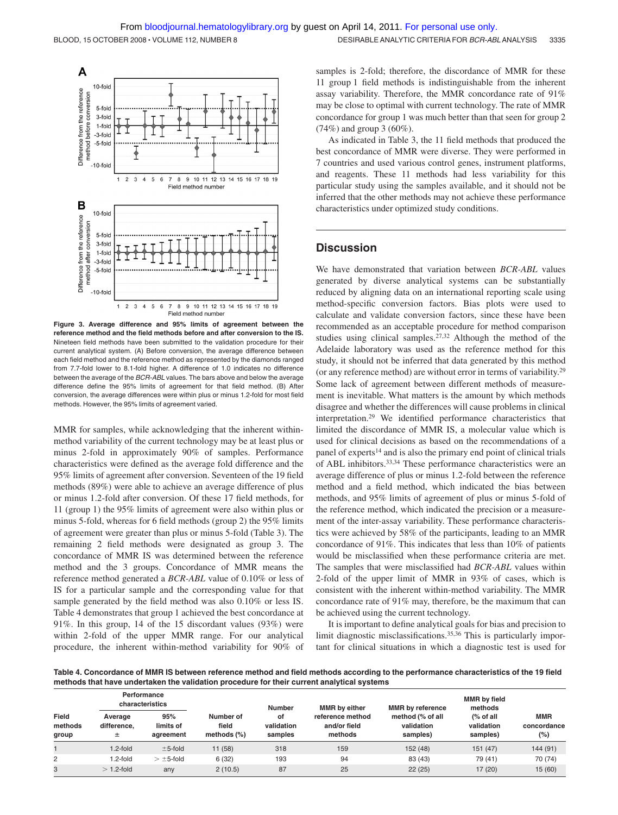

**Figure 3. Average difference and 95% limits of agreement between the reference method and the field methods before and after conversion to the IS.** Nineteen field methods have been submitted to the validation procedure for their current analytical system. (A) Before conversion, the average difference between each field method and the reference method as represented by the diamonds ranged from 7.7-fold lower to 8.1-fold higher. A difference of 1.0 indicates no difference between the average of the *BCR-ABL* values. The bars above and below the average difference define the 95% limits of agreement for that field method. (B) After conversion, the average differences were within plus or minus 1.2-fold for most field methods. However, the 95% limits of agreement varied.

MMR for samples, while acknowledging that the inherent withinmethod variability of the current technology may be at least plus or minus 2-fold in approximately 90% of samples. Performance characteristics were defined as the average fold difference and the 95% limits of agreement after conversion. Seventeen of the 19 field methods (89%) were able to achieve an average difference of plus or minus 1.2-fold after conversion. Of these 17 field methods, for 11 (group 1) the 95% limits of agreement were also within plus or minus 5-fold, whereas for 6 field methods (group 2) the 95% limits of agreement were greater than plus or minus 5-fold (Table 3). The remaining 2 field methods were designated as group 3. The concordance of MMR IS was determined between the reference method and the 3 groups. Concordance of MMR means the reference method generated a *BCR-ABL* value of 0.10% or less of IS for a particular sample and the corresponding value for that sample generated by the field method was also 0.10% or less IS. Table 4 demonstrates that group 1 achieved the best concordance at 91%. In this group, 14 of the 15 discordant values (93%) were within 2-fold of the upper MMR range. For our analytical procedure, the inherent within-method variability for 90% of samples is 2-fold; therefore, the discordance of MMR for these 11 group 1 field methods is indistinguishable from the inherent assay variability. Therefore, the MMR concordance rate of 91% may be close to optimal with current technology. The rate of MMR concordance for group 1 was much better than that seen for group 2 (74%) and group 3 (60%).

As indicated in Table 3, the 11 field methods that produced the best concordance of MMR were diverse. They were performed in 7 countries and used various control genes, instrument platforms, and reagents. These 11 methods had less variability for this particular study using the samples available, and it should not be inferred that the other methods may not achieve these performance characteristics under optimized study conditions.

## **Discussion**

We have demonstrated that variation between *BCR-ABL* values generated by diverse analytical systems can be substantially reduced by aligning data on an international reporting scale using method-specific conversion factors. Bias plots were used to calculate and validate conversion factors, since these have been recommended as an acceptable procedure for method comparison studies using clinical samples.27,32 Although the method of the Adelaide laboratory was used as the reference method for this study, it should not be inferred that data generated by this method (or any reference method) are without error in terms of variability.29 Some lack of agreement between different methods of measurement is inevitable. What matters is the amount by which methods disagree and whether the differences will cause problems in clinical interpretation.29 We identified performance characteristics that limited the discordance of MMR IS, a molecular value which is used for clinical decisions as based on the recommendations of a panel of experts<sup>14</sup> and is also the primary end point of clinical trials of ABL inhibitors.33,34 These performance characteristics were an average difference of plus or minus 1.2-fold between the reference method and a field method, which indicated the bias between methods, and 95% limits of agreement of plus or minus 5-fold of the reference method, which indicated the precision or a measurement of the inter-assay variability. These performance characteristics were achieved by 58% of the participants, leading to an MMR concordance of 91%. This indicates that less than 10% of patients would be misclassified when these performance criteria are met. The samples that were misclassified had *BCR-ABL* values within 2-fold of the upper limit of MMR in 93% of cases, which is consistent with the inherent within-method variability. The MMR concordance rate of 91% may, therefore, be the maximum that can be achieved using the current technology.

It is important to define analytical goals for bias and precision to limit diagnostic misclassifications.35,36 This is particularly important for clinical situations in which a diagnostic test is used for

**Table 4. Concordance of MMR IS between reference method and field methods according to the performance characteristics of the 19 field methods that have undertaken the validation procedure for their current analytical systems**

|                           | Performance<br>characteristics |                               |                                      | <b>Number</b>               | <b>MMR</b> by either                        | <b>MMR</b> by reference                    | <b>MMR</b> by field<br>methods                 |                                  |
|---------------------------|--------------------------------|-------------------------------|--------------------------------------|-----------------------------|---------------------------------------------|--------------------------------------------|------------------------------------------------|----------------------------------|
| Field<br>methods<br>group | Average<br>difference,<br>土    | 95%<br>limits of<br>agreement | Number of<br>field<br>methods $(\%)$ | οf<br>validation<br>samples | reference method<br>and/or field<br>methods | method (% of all<br>validation<br>samples) | $\frac{6}{6}$ of all<br>validation<br>samples) | <b>MMR</b><br>concordance<br>(%) |
|                           | $1.2$ -fold                    | $±5$ -fold                    | 11(58)                               | 318                         | 159                                         | 152 (48)                                   | 151(47)                                        | 144 (91)                         |
| 2                         | 1.2-fold                       | $> \pm 5$ -fold               | 6(32)                                | 193                         | 94                                          | 83 (43)                                    | 79 (41)                                        | 70 (74)                          |
| 3                         | $> 1.2$ -fold                  | any                           | 2(10.5)                              | 87                          | 25                                          | 22(25)                                     | 17(20)                                         | 15(60)                           |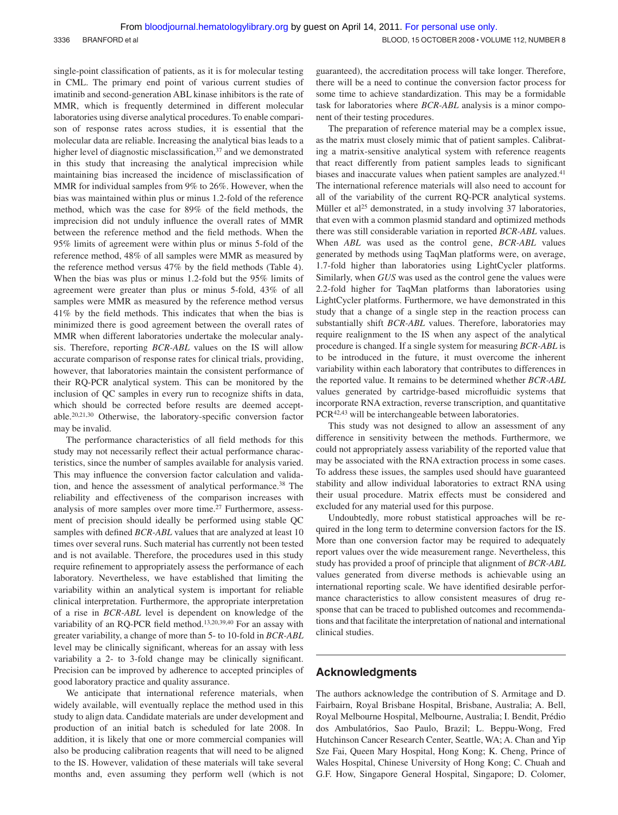single-point classification of patients, as it is for molecular testing in CML. The primary end point of various current studies of imatinib and second-generation ABL kinase inhibitors is the rate of MMR, which is frequently determined in different molecular laboratories using diverse analytical procedures. To enable comparison of response rates across studies, it is essential that the molecular data are reliable. Increasing the analytical bias leads to a higher level of diagnostic misclassification,<sup>37</sup> and we demonstrated in this study that increasing the analytical imprecision while maintaining bias increased the incidence of misclassification of MMR for individual samples from 9% to 26%. However, when the bias was maintained within plus or minus 1.2-fold of the reference method, which was the case for 89% of the field methods, the imprecision did not unduly influence the overall rates of MMR between the reference method and the field methods. When the 95% limits of agreement were within plus or minus 5-fold of the reference method, 48% of all samples were MMR as measured by the reference method versus 47% by the field methods (Table 4). When the bias was plus or minus 1.2-fold but the 95% limits of agreement were greater than plus or minus 5-fold, 43% of all samples were MMR as measured by the reference method versus 41% by the field methods. This indicates that when the bias is minimized there is good agreement between the overall rates of MMR when different laboratories undertake the molecular analysis. Therefore, reporting *BCR-ABL* values on the IS will allow accurate comparison of response rates for clinical trials, providing, however, that laboratories maintain the consistent performance of their RQ-PCR analytical system. This can be monitored by the inclusion of QC samples in every run to recognize shifts in data, which should be corrected before results are deemed acceptable.20,21,30 Otherwise, the laboratory-specific conversion factor may be invalid.

The performance characteristics of all field methods for this study may not necessarily reflect their actual performance characteristics, since the number of samples available for analysis varied. This may influence the conversion factor calculation and validation, and hence the assessment of analytical performance.38 The reliability and effectiveness of the comparison increases with analysis of more samples over more time.27 Furthermore, assessment of precision should ideally be performed using stable QC samples with defined *BCR-ABL* values that are analyzed at least 10 times over several runs. Such material has currently not been tested and is not available. Therefore, the procedures used in this study require refinement to appropriately assess the performance of each laboratory. Nevertheless, we have established that limiting the variability within an analytical system is important for reliable clinical interpretation. Furthermore, the appropriate interpretation of a rise in *BCR-ABL* level is dependent on knowledge of the variability of an RQ-PCR field method.13,20,39,40 For an assay with greater variability, a change of more than 5- to 10-fold in *BCR-ABL* level may be clinically significant, whereas for an assay with less variability a 2- to 3-fold change may be clinically significant. Precision can be improved by adherence to accepted principles of good laboratory practice and quality assurance.

We anticipate that international reference materials, when widely available, will eventually replace the method used in this study to align data. Candidate materials are under development and production of an initial batch is scheduled for late 2008. In addition, it is likely that one or more commercial companies will also be producing calibration reagents that will need to be aligned to the IS. However, validation of these materials will take several months and, even assuming they perform well (which is not guaranteed), the accreditation process will take longer. Therefore, there will be a need to continue the conversion factor process for some time to achieve standardization. This may be a formidable task for laboratories where *BCR-ABL* analysis is a minor component of their testing procedures.

The preparation of reference material may be a complex issue, as the matrix must closely mimic that of patient samples. Calibrating a matrix-sensitive analytical system with reference reagents that react differently from patient samples leads to significant biases and inaccurate values when patient samples are analyzed.<sup>41</sup> The international reference materials will also need to account for all of the variability of the current RQ-PCR analytical systems. Müller et al<sup>25</sup> demonstrated, in a study involving 37 laboratories, that even with a common plasmid standard and optimized methods there was still considerable variation in reported *BCR-ABL* values. When *ABL* was used as the control gene, *BCR-ABL* values generated by methods using TaqMan platforms were, on average, 1.7-fold higher than laboratories using LightCycler platforms. Similarly, when *GUS* was used as the control gene the values were 2.2-fold higher for TaqMan platforms than laboratories using LightCycler platforms. Furthermore, we have demonstrated in this study that a change of a single step in the reaction process can substantially shift *BCR-ABL* values. Therefore, laboratories may require realignment to the IS when any aspect of the analytical procedure is changed. If a single system for measuring *BCR-ABL* is to be introduced in the future, it must overcome the inherent variability within each laboratory that contributes to differences in the reported value. It remains to be determined whether *BCR-ABL* values generated by cartridge-based microfluidic systems that incorporate RNA extraction, reverse transcription, and quantitative PCR42,43 will be interchangeable between laboratories.

This study was not designed to allow an assessment of any difference in sensitivity between the methods. Furthermore, we could not appropriately assess variability of the reported value that may be associated with the RNA extraction process in some cases. To address these issues, the samples used should have guaranteed stability and allow individual laboratories to extract RNA using their usual procedure. Matrix effects must be considered and excluded for any material used for this purpose.

Undoubtedly, more robust statistical approaches will be required in the long term to determine conversion factors for the IS. More than one conversion factor may be required to adequately report values over the wide measurement range. Nevertheless, this study has provided a proof of principle that alignment of *BCR-ABL* values generated from diverse methods is achievable using an international reporting scale. We have identified desirable performance characteristics to allow consistent measures of drug response that can be traced to published outcomes and recommendations and that facilitate the interpretation of national and international clinical studies.

## **Acknowledgments**

The authors acknowledge the contribution of S. Armitage and D. Fairbairn, Royal Brisbane Hospital, Brisbane, Australia; A. Bell, Royal Melbourne Hospital, Melbourne, Australia; I. Bendit, Prédio dos Ambulatórios, Sao Paulo, Brazil; L. Beppu-Wong, Fred Hutchinson Cancer Research Center, Seattle, WA; A. Chan and Yip Sze Fai, Queen Mary Hospital, Hong Kong; K. Cheng, Prince of Wales Hospital, Chinese University of Hong Kong; C. Chuah and G.F. How, Singapore General Hospital, Singapore; D. Colomer,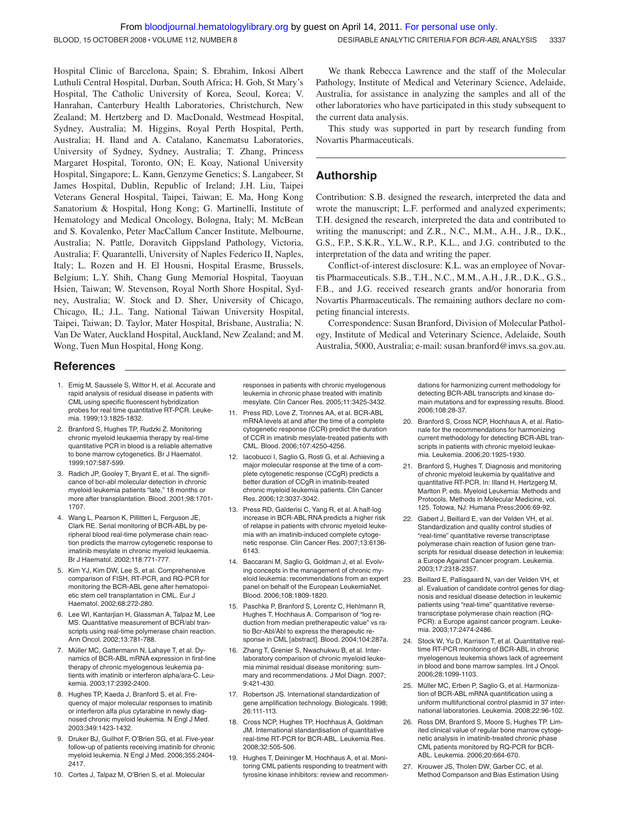Hospital Clinic of Barcelona, Spain; S. Ebrahim, Inkosi Albert Luthuli Central Hospital, Durban, South Africa; H. Goh, St Mary's Hospital, The Catholic University of Korea, Seoul, Korea; V. Hanrahan, Canterbury Health Laboratories, Christchurch, New Zealand; M. Hertzberg and D. MacDonald, Westmead Hospital, Sydney, Australia; M. Higgins, Royal Perth Hospital, Perth, Australia; H. Iland and A. Catalano, Kanematsu Laboratories, University of Sydney, Sydney, Australia; T. Zhang, Princess Margaret Hospital, Toronto, ON; E. Koay, National University Hospital, Singapore; L. Kann, Genzyme Genetics; S. Langabeer, St James Hospital, Dublin, Republic of Ireland; J.H. Liu, Taipei Veterans General Hospital, Taipei, Taiwan; E. Ma, Hong Kong Sanatorium & Hospital, Hong Kong; G. Martinelli, Institute of Hematology and Medical Oncology, Bologna, Italy; M. McBean and S. Kovalenko, Peter MacCallum Cancer Institute, Melbourne, Australia; N. Pattle, Doravitch Gippsland Pathology, Victoria, Australia; F. Quarantelli, University of Naples Federico II, Naples, Italy; L. Rozen and H. El Housni, Hospital Erasme, Brussels, Belgium; L.Y. Shih, Chang Gung Memorial Hospital, Taoyuan Hsien, Taiwan; W. Stevenson, Royal North Shore Hospital, Sydney, Australia; W. Stock and D. Sher, University of Chicago, Chicago, IL; J.L. Tang, National Taiwan University Hospital, Taipei, Taiwan; D. Taylor, Mater Hospital, Brisbane, Australia; N. Van De Water, Auckland Hospital, Auckland, New Zealand; and M. Wong, Tuen Mun Hospital, Hong Kong.

We thank Rebecca Lawrence and the staff of the Molecular Pathology, Institute of Medical and Veterinary Science, Adelaide, Australia, for assistance in analyzing the samples and all of the other laboratories who have participated in this study subsequent to the current data analysis.

This study was supported in part by research funding from Novartis Pharmaceuticals.

# **Authorship**

Contribution: S.B. designed the research, interpreted the data and wrote the manuscript; L.F. performed and analyzed experiments; T.H. designed the research, interpreted the data and contributed to writing the manuscript; and Z.R., N.C., M.M., A.H., J.R., D.K., G.S., F.P., S.K.R., Y.L.W., R.P., K.L., and J.G. contributed to the interpretation of the data and writing the paper.

Conflict-of-interest disclosure: K.L. was an employee of Novartis Pharmaceuticals. S.B., T.H., N.C., M.M., A.H., J.R., D.K., G.S., F.B., and J.G. received research grants and/or honoraria from Novartis Pharmaceuticals. The remaining authors declare no competing financial interests.

Correspondence: Susan Branford, Division of Molecular Pathology, Institute of Medical and Veterinary Science, Adelaide, South Australia, 5000, Australia; e-mail: susan.branford@imvs.sa.gov.au.

# **References**

- 1. Emig M, Saussele S, Wittor H, et al. Accurate and rapid analysis of residual disease in patients with CML using specific fluorescent hybridization probes for real time quantitative RT-PCR. Leukemia. 1999;13:1825-1832.
- 2. Branford S, Hughes TP, Rudzki Z. Monitoring chronic myeloid leukaemia therapy by real-time quantitative PCR in blood is a reliable alternative to bone marrow cytogenetics. Br J Haematol. 1999;107:587-599.
- 3. Radich JP, Gooley T, Bryant E, et al. The significance of bcr-abl molecular detection in chronic myeloid leukemia patients "late," 18 months or more after transplantation. Blood. 2001;98:1701- 1707.
- 4. Wang L, Pearson K, Pillitteri L, Ferguson JE, Clark RE. Serial monitoring of BCR-ABL by peripheral blood real-time polymerase chain reaction predicts the marrow cytogenetic response to imatinib mesylate in chronic myeloid leukaemia. Br J Haematol. 2002;118:771-777.
- 5. Kim YJ, Kim DW, Lee S, et al. Comprehensive comparison of FISH, RT-PCR, and RQ-PCR for monitoring the BCR-ABL gene after hematopoietic stem cell transplantation in CML. Eur J Haematol. 2002;68:272-280.
- 6. Lee WI, Kantarjian H, Glassman A, Talpaz M, Lee MS. Quantitative measurement of BCR/abl transcripts using real-time polymerase chain reaction. Ann Oncol. 2002;13:781-788.
- 7. Müller MC, Gattermann N, Lahaye T, et al. Dynamics of BCR-ABL mRNA expression in first-line therapy of chronic myelogenous leukemia patients with imatinib or interferon alpha/ara-C. Leukemia. 2003;17:2392-2400.
- 8. Hughes TP, Kaeda J, Branford S, et al. Frequency of major molecular responses to imatinib or interferon alfa plus cytarabine in newly diagnosed chronic myeloid leukemia. N Engl J Med. 2003;349:1423-1432.
- 9. Druker BJ, Guilhot F, O'Brien SG, et al. Five-year follow-up of patients receiving imatinib for chronic myeloid leukemia. N Engl J Med. 2006;355:2404- 2417.
- 10. Cortes J, Talpaz M, O'Brien S, et al. Molecular

responses in patients with chronic myelogenous leukemia in chronic phase treated with imatinib mesylate. Clin Cancer Res. 2005;11:3425-3432.

- 11. Press RD, Love Z, Tronnes AA, et al. BCR-ABL mRNA levels at and after the time of a complete cytogenetic response (CCR) predict the duration of CCR in imatinib mesylate-treated patients with CML. Blood. 2006;107:4250-4256.
- 12. Iacobucci I, Saglio G, Rosti G, et al. Achieving a major molecular response at the time of a complete cytogenetic response (CCgR) predicts a better duration of CCgR in imatinib-treated chronic myeloid leukemia patients. Clin Cancer Res. 2006;12:3037-3042.
- 13. Press RD, Galderisi C, Yang R, et al. A half-log increase in BCR-ABL RNA predicts a higher risk of relapse in patients with chronic myeloid leukemia with an imatinib-induced complete cytogenetic response. Clin Cancer Res. 2007;13:6136- 6143.
- 14. Baccarani M, Saglio G, Goldman J, et al. Evolving concepts in the management of chronic myeloid leukemia: recommendations from an expert panel on behalf of the European LeukemiaNet. Blood. 2006;108:1809-1820.
- 15. Paschka P, Branford S, Lorentz C, Hehlmann R, Hughes T, Hochhaus A. Comparison of "log reduction from median pretherapeutic value" vs ratio Bcr-Abl/Abl to express the therapeutic response in CML [abstract]. Blood. 2004;104:287a.
- 16. Zhang T, Grenier S, Nwachukwu B, et al. Interlaboratory comparison of chronic myeloid leukemia minimal residual disease monitoring: summary and recommendations. J Mol Diagn. 2007; 9:421-430.
- 17. Robertson JS. International standardization of gene amplification technology. Biologicals. 1998; 26:111-113.
- 18. Cross NCP, Hughes TP, Hochhaus A, Goldman JM. International standardisation of quantitative real-time RT-PCR for BCR-ABL. Leukemia Res. 2008;32:505-506.
- 19. Hughes T, Deininger M, Hochhaus A, et al. Monitoring CML patients responding to treatment with tyrosine kinase inhibitors: review and recommen-

dations for harmonizing current methodology for detecting BCR-ABL transcripts and kinase domain mutations and for expressing results. Blood. 2006;108:28-37.

- 20. Branford S, Cross NCP, Hochhaus A, et al. Rationale for the recommendations for harmonizing current methodology for detecting BCR-ABL transcripts in patients with chronic myeloid leukaemia. Leukemia. 2006;20:1925-1930.
- 21. Branford S, Hughes T. Diagnosis and monitoring of chronic myeloid leukemia by qualitative and quantitative RT-PCR. In: Illand H, Hertzgerg M, Marlton P, eds. Myeloid Leukemia: Methods and Protocols. Methods in Molecular Medicine, vol. 125. Totowa, NJ: Humana Press;2006:69-92.
- 22. Gabert J, Beillard E, van der Velden VH, et al. Standardization and quality control studies of "real-time" quantitative reverse transcriptase polymerase chain reaction of fusion gene transcripts for residual disease detection in leukemia: a Europe Against Cancer program. Leukemia. 2003;17:2318-2357.
- 23. Beillard E, Pallisgaard N, van der Velden VH, et al. Evaluation of candidate control genes for diagnosis and residual disease detection in leukemic patients using "real-time" quantitative reversetranscriptase polymerase chain reaction (RQ-PCR): a Europe against cancer program. Leukemia. 2003;17:2474-2486.
- 24. Stock W, Yu D, Karrison T, et al. Quantitative realtime RT-PCR monitoring of BCR-ABL in chronic myelogenous leukemia shows lack of agreement in blood and bone marrow samples. Int J Oncol. 2006;28:1099-1103.
- 25. Müller MC, Erben P, Saglio G, et al. Harmonization of BCR-ABL mRNA quantification using a uniform multifunctional control plasmid in 37 international laboratories. Leukemia. 2008;22:96-102.
- 26. Ross DM, Branford S, Moore S, Hughes TP. Limited clinical value of regular bone marrow cytogenetic analysis in imatinib-treated chronic phase CML patients monitored by RQ-PCR for BCR-ABL. Leukemia. 2006;20:664-670.
- 27. Krouwer JS, Tholen DW, Garber CC, et al. Method Comparison and Bias Estimation Using